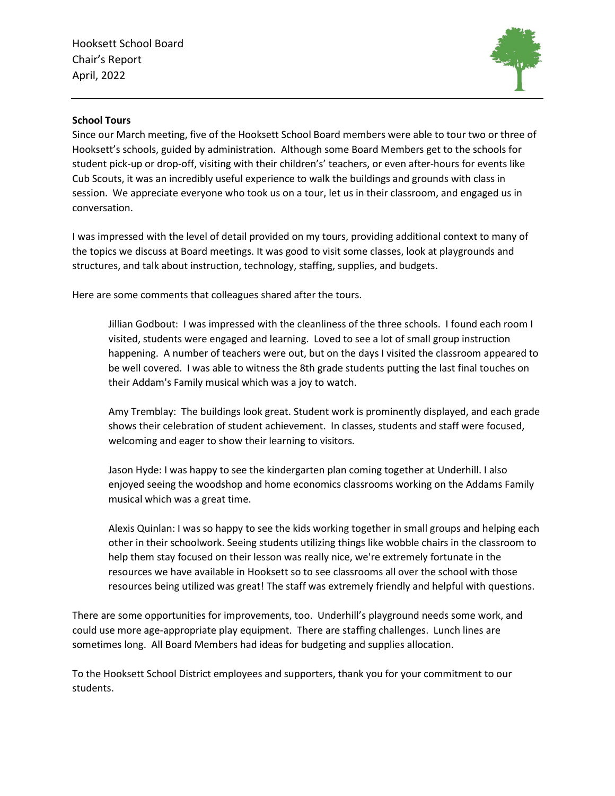Hooksett School Board Chair's Report April, 2022



## School Tours

Since our March meeting, five of the Hooksett School Board members were able to tour two or three of Hooksett's schools, guided by administration. Although some Board Members get to the schools for student pick-up or drop-off, visiting with their children's' teachers, or even after-hours for events like Cub Scouts, it was an incredibly useful experience to walk the buildings and grounds with class in session. We appreciate everyone who took us on a tour, let us in their classroom, and engaged us in conversation.

I was impressed with the level of detail provided on my tours, providing additional context to many of the topics we discuss at Board meetings. It was good to visit some classes, look at playgrounds and structures, and talk about instruction, technology, staffing, supplies, and budgets.

Here are some comments that colleagues shared after the tours.

Jillian Godbout: I was impressed with the cleanliness of the three schools. I found each room I visited, students were engaged and learning. Loved to see a lot of small group instruction happening. A number of teachers were out, but on the days I visited the classroom appeared to be well covered. I was able to witness the 8th grade students putting the last final touches on their Addam's Family musical which was a joy to watch.

Amy Tremblay: The buildings look great. Student work is prominently displayed, and each grade shows their celebration of student achievement. In classes, students and staff were focused, welcoming and eager to show their learning to visitors.

Jason Hyde: I was happy to see the kindergarten plan coming together at Underhill. I also enjoyed seeing the woodshop and home economics classrooms working on the Addams Family musical which was a great time.

Alexis Quinlan: I was so happy to see the kids working together in small groups and helping each other in their schoolwork. Seeing students utilizing things like wobble chairs in the classroom to help them stay focused on their lesson was really nice, we're extremely fortunate in the resources we have available in Hooksett so to see classrooms all over the school with those resources being utilized was great! The staff was extremely friendly and helpful with questions.

There are some opportunities for improvements, too. Underhill's playground needs some work, and could use more age-appropriate play equipment. There are staffing challenges. Lunch lines are sometimes long. All Board Members had ideas for budgeting and supplies allocation.

To the Hooksett School District employees and supporters, thank you for your commitment to our students.